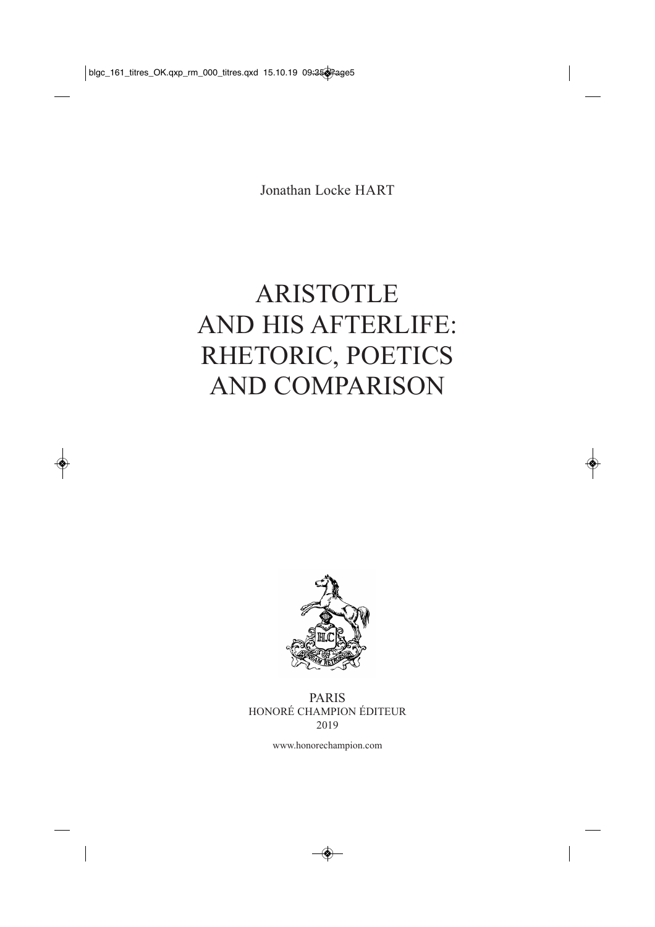Jonathan Locke HART

## ARISTOTLE AND HIS AFTERLIFE: RHETORIC, POETICS AND COMPARISON



PARIS HONORÉ CHAMPION ÉDITEUR 2019

www.honorechampion.com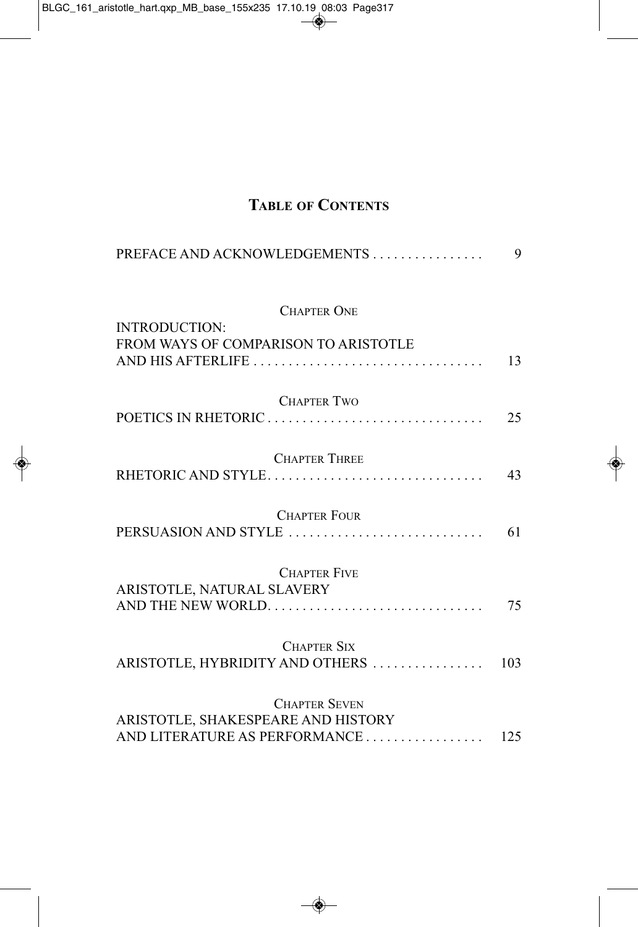## **TABLE OF CONTENTS**

| PREFACE AND ACKNOWLEDGEMENTS                                                                | 9   |
|---------------------------------------------------------------------------------------------|-----|
| <b>CHAPTER ONE</b><br><b>INTRODUCTION:</b>                                                  |     |
| FROM WAYS OF COMPARISON TO ARISTOTLE                                                        | 13  |
| <b>CHAPTER TWO</b>                                                                          | 25  |
| <b>CHAPTER THREE</b><br>RHETORIC AND STYLE                                                  | 43  |
| <b>CHAPTER FOUR</b><br>PERSUASION AND STYLE                                                 | 61  |
| <b>CHAPTER FIVE</b>                                                                         |     |
| ARISTOTLE, NATURAL SLAVERY<br>AND THE NEW WORLD                                             | 75  |
| <b>CHAPTER SIX</b><br>ARISTOTLE, HYBRIDITY AND OTHERS                                       | 103 |
| <b>CHAPTER SEVEN</b><br>ARISTOTLE, SHAKESPEARE AND HISTORY<br>AND LITERATURE AS PERFORMANCE | 125 |